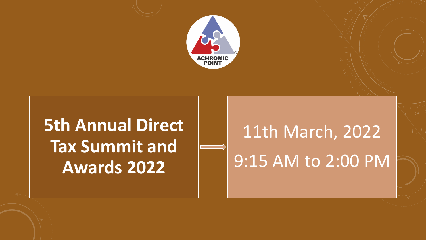





# 11th March, 2022 9:15 AM to 2:00 PM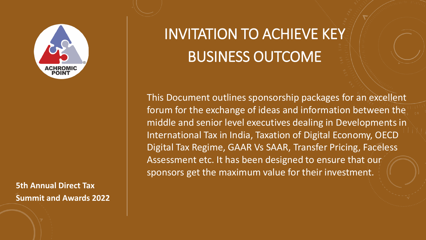## INVITATION TO ACHIEVE KEY BUSINESS OUTCOME

This Document outlines sponsorship packages for an excellent forum for the exchange of ideas and information between the middle and senior level executives dealing in Developments in International Tax in India, Taxation of Digital Economy, OECD Digital Tax Regime, GAAR Vs SAAR, Transfer Pricing, Faceless Assessment etc. It has been designed to ensure that our sponsors get the maximum value for their investment.



### **5th Annual Direct Tax Summit and Awards 2022**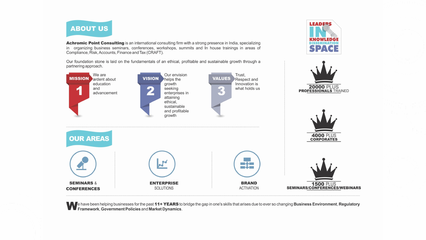

**SEMINARS &** 

**CONFERENCES** 

Achromic Point Consulting is an international consulting firm with a strong presence in India, specializing in organizing business seminars, conferences, workshops, summits and In house trainings in areas of Compliance, Risk, Accounts, Finance and Tax (CRAFT).

Our foundation stone is laid on the fundamentals of an ethical, profitable and sustainable growth through a partnering approach.



**ENTERPRISE** 

**SOLUTIONS** 

A e have been helping businesses for the past 11+ YEARS to bridge the gap in one's skills that arises due to ever so changing Business Environment, Regulatory **WE Framework, Government Policies and Market Dynamics.** 

**BRAND** 

**ACTIVATION** 

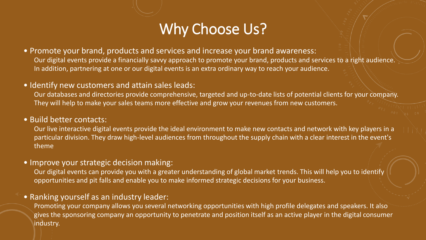### Why Choose Us?

- Promote your brand, products and services and increase your brand awareness: Our digital events provide a financially savvy approach to promote your brand, products and services to a right audience. In addition, partnering at one or our digital events is an extra ordinary way to reach your audience.
- Identify new customers and attain sales leads: Our databases and directories provide comprehensive, targeted and up-to-date lists of potential clients for your company. They will help to make your sales teams more effective and grow your revenues from new customers.
- Build better contacts:
	- Our live interactive digital events provide the ideal environment to make new contacts and network with key players in a particular division. They draw high-level audiences from throughout the supply chain with a clear interest in the event's theme
- Improve your strategic decision making:

Our digital events can provide you with a greater understanding of global market trends. This will help you to identify opportunities and pit falls and enable you to make informed strategic decisions for your business.

• Ranking yourself as an industry leader:

Promoting your company allows you several networking opportunities with high profile delegates and speakers. It also gives the sponsoring company an opportunity to penetrate and position itself as an active player in the digital consumer industry.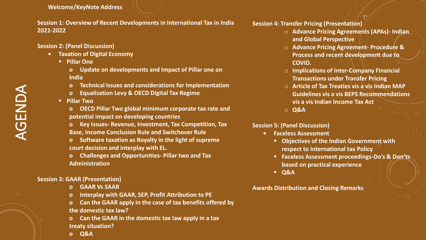**Welcome/KeyNote Address**

**Session 1: Overview of Recent Developments in International Tax in India 2021-2022**

**Session 2: (Panel Discussion)**

- **• Taxation of Digital Economy** 
	- **Pillar One**
		- **o Update on developments and Impact of Pillar one on India**
		- **o Technical Issues and considerations for Implementation**
		- **o Equalization Levy & OECD Digital Tax Regime**
	- **Pillar Two**
		- **o OECD Pillar Two global minimum corporate tax rate and potential impact on developing countries**
		- **o Key Issues- Revenue, Investment, Tax Competition, Tax Base, Income Conclusion Rule and Switchover Rule**
		- **o Software taxation as Royalty in the light of supreme court decision and interplay with EL.**
		- **o Challenges and Opportunities- Pillar two and Tax Administration**

#### **Session 3: GAAR (Presentation)**

- **o GAAR Vs SAAR**
- **o Interplay with GAAR, SEP, Profit Attribution to PE**
- **o Can the GAAR apply in the case of tax benefits offered by the domestic tax law?**
- **o Can the GAAR in the domestic tax law apply in a tax treaty situation?**
- **o Q&A**

**ORIGE** 

#### **Session 4: Transfer Pricing (Presentation)**

- o **Advance Pricing Agreements (APAs)- Indian and Global Perspective**
- o **Advance Pricing Agreement- Procedure & Process and recent development due to COVID.**
- o **Implications of Inter-Company Financial Transactions under Transfer Pricing**
- o **Article of Tax Treaties vis a vis Indian MAP Guidelines vis a vis BEPS Recommendations vis a vis Indian Income Tax Act**
- o **Q&A**

#### **Session 5: (Panel Discussion)**

**• Faceless Assessment**

- **Objectives of the Indian Government with respect to International tax Policy**
- **Faceless Assessment proceedings-Do's & Don'ts based on practical experience**
- **Q&A**

**Awards Distribution and Closing Remarks**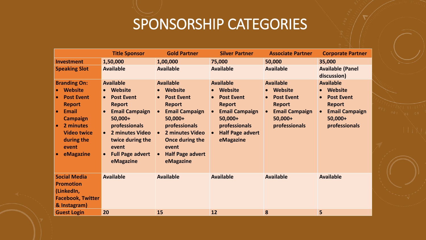### SPONSORSHIP CATEGORIES

|                          | <b>Title Sponsor</b>           | <b>Gold Partner</b>            | <b>Silver Partner</b>   | <b>Associate Partner</b> | <b>Corporate Partner</b>               |           |
|--------------------------|--------------------------------|--------------------------------|-------------------------|--------------------------|----------------------------------------|-----------|
| <b>Investment</b>        | 1,50,000                       | 1,00,000                       | 75,000                  | 50,000                   | 35,000                                 |           |
| <b>Speaking Slot</b>     | <b>Available</b>               | <b>Available</b>               | <b>Available</b>        | <b>Available</b>         | <b>Available (Panel</b><br>discussion) |           |
| <b>Branding On:</b>      | <b>Available</b>               | <b>Available</b>               | <b>Available</b>        | <b>Available</b>         | <b>Available</b>                       |           |
| • Website                | <b>Website</b><br>$\bullet$    | <b>Website</b>                 | <b>Website</b>          | • Website                | • Website                              |           |
| <b>Post Event</b>        | <b>Post Event</b><br>$\bullet$ | <b>Post Event</b><br>$\bullet$ | <b>Post Event</b>       | <b>Post Event</b>        | <b>Post Event</b>                      |           |
| <b>Report</b>            | <b>Report</b>                  | <b>Report</b>                  | <b>Report</b>           | Report                   | <b>Report</b>                          |           |
| Email                    | <b>Email Campaign</b>          | <b>Email Campaign</b>          | <b>Email Campaign</b>   | <b>Email Campaign</b>    | <b>Email Campaign</b>                  |           |
| <b>Campaign</b>          | 50,000+                        | 50,000+                        | 50,000+                 | 50,000+                  | 50,000+                                |           |
| 2 minutes                | <b>professionals</b>           | <b>professionals</b>           | <b>professionals</b>    | <b>professionals</b>     | <b>professionals</b>                   |           |
| <b>Video twice</b>       | 2 minutes Video<br>$\bullet$   | 2 minutes Video                | <b>Half Page advert</b> |                          |                                        | $\pm 1.1$ |
| during the               | twice during the               | <b>Once during the</b>         | eMagazine               |                          |                                        |           |
| event                    | event                          | event                          |                         |                          |                                        |           |
| eMagazine                | <b>Full Page advert</b>        | Half Page advert<br>$\bullet$  |                         |                          |                                        |           |
|                          | eMagazine                      | eMagazine                      |                         |                          |                                        |           |
|                          |                                |                                |                         |                          |                                        |           |
| <b>Social Media</b>      | <b>Available</b>               | <b>Available</b>               | <b>Available</b>        | <b>Available</b>         | <b>Available</b>                       |           |
| <b>Promotion</b>         |                                |                                |                         |                          |                                        |           |
| (LinkedIn,               |                                |                                |                         |                          |                                        |           |
| <b>Facebook, Twitter</b> |                                |                                |                         |                          |                                        |           |
| & Instagram)             |                                |                                |                         |                          |                                        |           |
| <b>Guest Login</b>       | 20                             | 15                             | 12                      | 8                        |                                        |           |